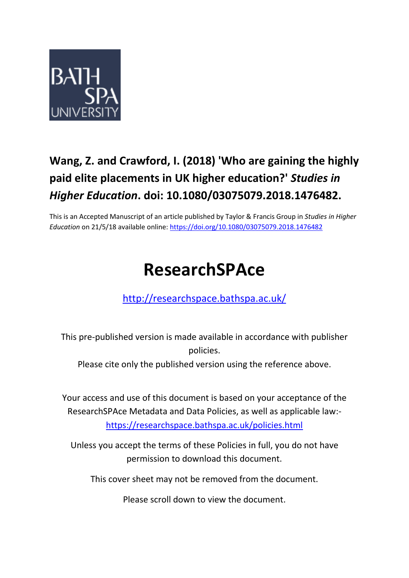

### **Wang, Z. and Crawford, I. (2018) 'Who are gaining the highly paid elite placements in UK higher education?'** *Studies in Higher Education***. doi: 10.1080/03075079.2018.1476482.**

This is an Accepted Manuscript of an article published by Taylor & Francis Group in *Studies in Higher Education* on 21/5/18 available online: <https://doi.org/10.1080/03075079.2018.1476482>

## **ResearchSPAce**

<http://researchspace.bathspa.ac.uk/>

This pre-published version is made available in accordance with publisher policies.

Please cite only the published version using the reference above.

Your access and use of this document is based on your acceptance of the ResearchSPAce Metadata and Data Policies, as well as applicable law: https://researchspace.bathspa.ac.uk/policies.html

Unless you accept the terms of these Policies in full, you do not have permission to download this document.

This cover sheet may not be removed from the document.

Please scroll down to view the document.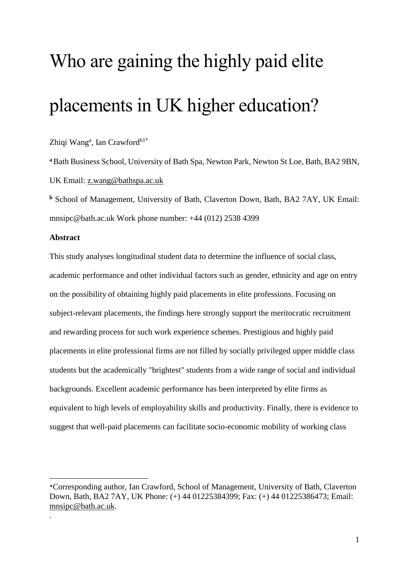# Who are gaining the highly paid elite placements in UK higher education?

#### Zhiqi Wang<sup>a</sup>, Ian Crawford<sup>b1\*</sup>

**<sup>a</sup>**Bath Business School, University of Bath Spa, Newton Park, Newton St Loe, Bath, BA2 9BN, UK Email: [z.wang@bathspa.ac.uk](mailto:z.wang@bathspa.ac.uk)

**<sup>b</sup>** School of Management, University of Bath, Claverton Down, Bath, BA2 7AY, UK Email: [mnsipc@bath.ac.uk](mailto:mnsipc@bath.ac.uk) Work phone number: +44 (012) 2538 4399

#### **Abstract**

1

.

This study analyses longitudinal student data to determine the influence of social class, academic performance and other individual factors such as gender, ethnicity and age on entry on the possibility of obtaining highly paid placements in elite professions. Focusing on subject-relevant placements, the findings here strongly support the meritocratic recruitment and rewarding process for such work experience schemes. Prestigious and highly paid placements in elite professional firms are not filled by socially privileged upper middle class students but the academically "brightest" students from a wide range of social and individual backgrounds. Excellent academic performance has been interpreted by elite firms as equivalent to high levels of employability skills and productivity. Finally, there is evidence to suggest that well-paid placements can facilitate socio-economic mobility of working class

<sup>\*</sup>Corresponding author, Ian Crawford, School of Management, University of Bath, Claverton Down, Bath, BA2 7AY, UK Phone: (+) 44 01225384399; Fax: (+) 44 01225386473; Email: [mnsipc@bath.ac.uk.](mailto:mnsipc@bath.ac.uk)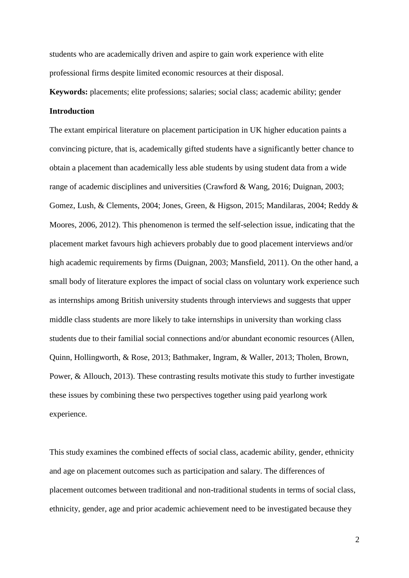students who are academically driven and aspire to gain work experience with elite professional firms despite limited economic resources at their disposal.

**Keywords:** placements; elite professions; salaries; social class; academic ability; gender **Introduction**

The extant empirical literature on placement participation in UK higher education paints a convincing picture, that is, academically gifted students have a significantly better chance to obtain a placement than academically less able students by using student data from a wide range of academic disciplines and universities (Crawford & Wang, 2016; Duignan, 2003; Gomez, Lush, & Clements, 2004; Jones, Green, & Higson, 2015; Mandilaras, 2004; Reddy & Moores, 2006, 2012). This phenomenon is termed the self-selection issue, indicating that the placement market favours high achievers probably due to good placement interviews and/or high academic requirements by firms (Duignan, 2003; Mansfield, 2011). On the other hand, a small body of literature explores the impact of social class on voluntary work experience such as internships among British university students through interviews and suggests that upper middle class students are more likely to take internships in university than working class students due to their familial social connections and/or abundant economic resources (Allen, Quinn, Hollingworth, & Rose, 2013; Bathmaker, Ingram, & Waller, 2013; Tholen, Brown, Power, & Allouch, 2013). These contrasting results motivate this study to further investigate these issues by combining these two perspectives together using paid yearlong work experience.

This study examines the combined effects of social class, academic ability, gender, ethnicity and age on placement outcomes such as participation and salary. The differences of placement outcomes between traditional and non-traditional students in terms of social class, ethnicity, gender, age and prior academic achievement need to be investigated because they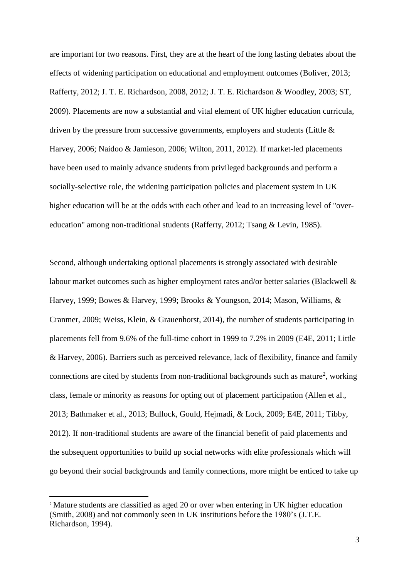are important for two reasons. First, they are at the heart of the long lasting debates about the effects of widening participation on educational and employment outcomes (Boliver, 2013; Rafferty, 2012; J. T. E. Richardson, 2008, 2012; J. T. E. Richardson & Woodley, 2003; ST, 2009). Placements are now a substantial and vital element of UK higher education curricula, driven by the pressure from successive governments, employers and students (Little & Harvey, 2006; Naidoo & Jamieson, 2006; Wilton, 2011, 2012). If market-led placements have been used to mainly advance students from privileged backgrounds and perform a socially-selective role, the widening participation policies and placement system in UK higher education will be at the odds with each other and lead to an increasing level of "overeducation" among non-traditional students (Rafferty, 2012; Tsang & Levin, 1985).

Second, although undertaking optional placements is strongly associated with desirable labour market outcomes such as higher employment rates and/or better salaries (Blackwell & Harvey, 1999; Bowes & Harvey, 1999; Brooks & Youngson, 2014; Mason, Williams, & Cranmer, 2009; Weiss, Klein, & Grauenhorst, 2014), the number of students participating in placements fell from 9.6% of the full-time cohort in 1999 to 7.2% in 2009 (E4E, 2011; Little & Harvey, 2006). Barriers such as perceived relevance, lack of flexibility, finance and family connections are cited by students from non-traditional backgrounds such as mature<sup>2</sup>, working class, female or minority as reasons for opting out of placement participation (Allen et al., 2013; Bathmaker et al., 2013; Bullock, Gould, Hejmadi, & Lock, 2009; E4E, 2011; Tibby, 2012). If non-traditional students are aware of the financial benefit of paid placements and the subsequent opportunities to build up social networks with elite professionals which will go beyond their social backgrounds and family connections, more might be enticed to take up

**.** 

<sup>&</sup>lt;sup>2</sup> Mature students are classified as aged 20 or over when entering in UK higher education (Smith, 2008) and not commonly seen in UK institutions before the 1980's (J.T.E. Richardson, 1994).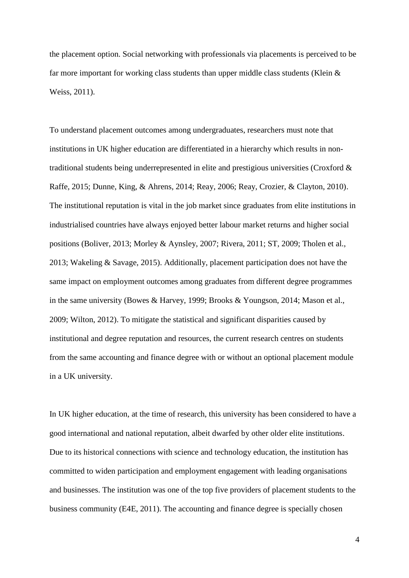the placement option. Social networking with professionals via placements is perceived to be far more important for working class students than upper middle class students (Klein & Weiss, 2011).

To understand placement outcomes among undergraduates, researchers must note that institutions in UK higher education are differentiated in a hierarchy which results in nontraditional students being underrepresented in elite and prestigious universities (Croxford & Raffe, 2015; Dunne, King, & Ahrens, 2014; Reay, 2006; Reay, Crozier, & Clayton, 2010). The institutional reputation is vital in the job market since graduates from elite institutions in industrialised countries have always enjoyed better labour market returns and higher social positions (Boliver, 2013; Morley & Aynsley, 2007; Rivera, 2011; ST, 2009; Tholen et al., 2013; Wakeling & Savage, 2015). Additionally, placement participation does not have the same impact on employment outcomes among graduates from different degree programmes in the same university (Bowes & Harvey, 1999; Brooks & Youngson, 2014; Mason et al., 2009; Wilton, 2012). To mitigate the statistical and significant disparities caused by institutional and degree reputation and resources, the current research centres on students from the same accounting and finance degree with or without an optional placement module in a UK university.

In UK higher education, at the time of research, this university has been considered to have a good international and national reputation, albeit dwarfed by other older elite institutions. Due to its historical connections with science and technology education, the institution has committed to widen participation and employment engagement with leading organisations and businesses. The institution was one of the top five providers of placement students to the business community (E4E, 2011). The accounting and finance degree is specially chosen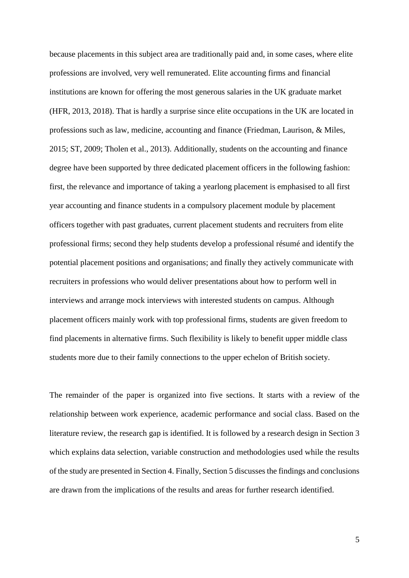because placements in this subject area are traditionally paid and, in some cases, where elite professions are involved, very well remunerated. Elite accounting firms and financial institutions are known for offering the most generous salaries in the UK graduate market (HFR, 2013, 2018). That is hardly a surprise since elite occupations in the UK are located in professions such as law, medicine, accounting and finance (Friedman, Laurison, & Miles, 2015; ST, 2009; Tholen et al., 2013). Additionally, students on the accounting and finance degree have been supported by three dedicated placement officers in the following fashion: first, the relevance and importance of taking a yearlong placement is emphasised to all first year accounting and finance students in a compulsory placement module by placement officers together with past graduates, current placement students and recruiters from elite professional firms; second they help students develop a professional résumé and identify the potential placement positions and organisations; and finally they actively communicate with recruiters in professions who would deliver presentations about how to perform well in interviews and arrange mock interviews with interested students on campus. Although placement officers mainly work with top professional firms, students are given freedom to find placements in alternative firms. Such flexibility is likely to benefit upper middle class students more due to their family connections to the upper echelon of British society.

The remainder of the paper is organized into five sections. It starts with a review of the relationship between work experience, academic performance and social class. Based on the literature review, the research gap is identified. It is followed by a research design in Section 3 which explains data selection, variable construction and methodologies used while the results of the study are presented in Section 4. Finally, Section 5 discusses the findings and conclusions are drawn from the implications of the results and areas for further research identified.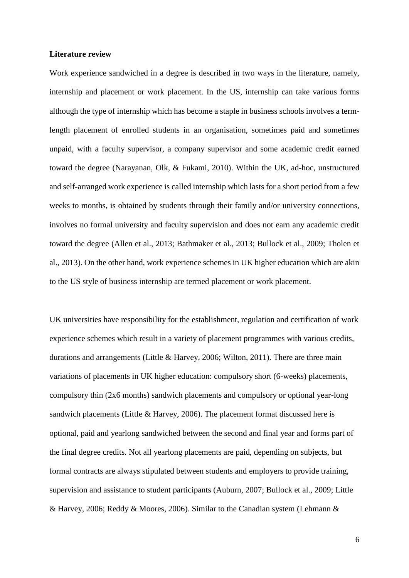#### **Literature review**

Work experience sandwiched in a degree is described in two ways in the literature, namely, internship and placement or work placement. In the US, internship can take various forms although the type of internship which has become a staple in business schools involves a termlength placement of enrolled students in an organisation, sometimes paid and sometimes unpaid, with a faculty supervisor, a company supervisor and some academic credit earned toward the degree (Narayanan, Olk, & Fukami, 2010). Within the UK, ad-hoc, unstructured and self-arranged work experience is called internship which lasts for a short period from a few weeks to months, is obtained by students through their family and/or university connections, involves no formal university and faculty supervision and does not earn any academic credit toward the degree (Allen et al., 2013; Bathmaker et al., 2013; Bullock et al., 2009; Tholen et al., 2013). On the other hand, work experience schemes in UK higher education which are akin to the US style of business internship are termed placement or work placement.

UK universities have responsibility for the establishment, regulation and certification of work experience schemes which result in a variety of placement programmes with various credits, durations and arrangements (Little & Harvey, 2006; Wilton, 2011). There are three main variations of placements in UK higher education: compulsory short (6-weeks) placements, compulsory thin (2x6 months) sandwich placements and compulsory or optional year-long sandwich placements (Little & Harvey, 2006). The placement format discussed here is optional, paid and yearlong sandwiched between the second and final year and forms part of the final degree credits. Not all yearlong placements are paid, depending on subjects, but formal contracts are always stipulated between students and employers to provide training, supervision and assistance to student participants (Auburn, 2007; Bullock et al., 2009; Little & Harvey, 2006; Reddy & Moores, 2006). Similar to the Canadian system (Lehmann &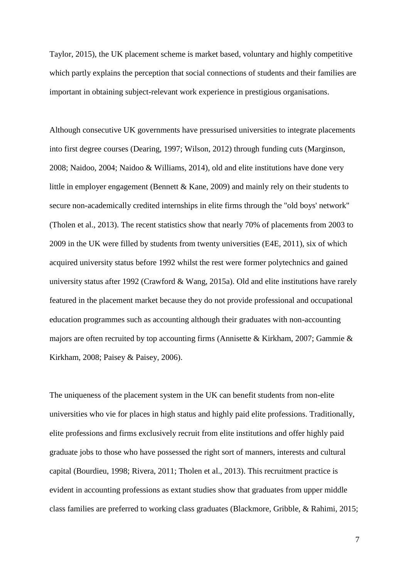Taylor, 2015), the UK placement scheme is market based, voluntary and highly competitive which partly explains the perception that social connections of students and their families are important in obtaining subject-relevant work experience in prestigious organisations.

Although consecutive UK governments have pressurised universities to integrate placements into first degree courses (Dearing, 1997; Wilson, 2012) through funding cuts (Marginson, 2008; Naidoo, 2004; Naidoo & Williams, 2014), old and elite institutions have done very little in employer engagement (Bennett & Kane, 2009) and mainly rely on their students to secure non-academically credited internships in elite firms through the "old boys' network" (Tholen et al., 2013). The recent statistics show that nearly 70% of placements from 2003 to 2009 in the UK were filled by students from twenty universities (E4E, 2011), six of which acquired university status before 1992 whilst the rest were former polytechnics and gained university status after 1992 (Crawford & Wang, 2015a). Old and elite institutions have rarely featured in the placement market because they do not provide professional and occupational education programmes such as accounting although their graduates with non-accounting majors are often recruited by top accounting firms (Annisette & Kirkham, 2007; Gammie & Kirkham, 2008; Paisey & Paisey, 2006).

The uniqueness of the placement system in the UK can benefit students from non-elite universities who vie for places in high status and highly paid elite professions. Traditionally, elite professions and firms exclusively recruit from elite institutions and offer highly paid graduate jobs to those who have possessed the right sort of manners, interests and cultural capital (Bourdieu, 1998; Rivera, 2011; Tholen et al., 2013). This recruitment practice is evident in accounting professions as extant studies show that graduates from upper middle class families are preferred to working class graduates (Blackmore, Gribble, & Rahimi, 2015;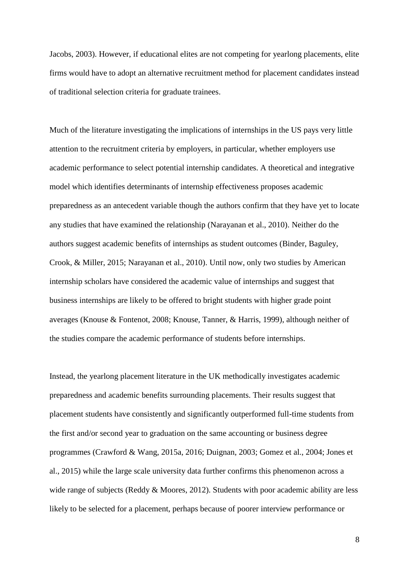Jacobs, 2003). However, if educational elites are not competing for yearlong placements, elite firms would have to adopt an alternative recruitment method for placement candidates instead of traditional selection criteria for graduate trainees.

Much of the literature investigating the implications of internships in the US pays very little attention to the recruitment criteria by employers, in particular, whether employers use academic performance to select potential internship candidates. A theoretical and integrative model which identifies determinants of internship effectiveness proposes academic preparedness as an antecedent variable though the authors confirm that they have yet to locate any studies that have examined the relationship (Narayanan et al., 2010). Neither do the authors suggest academic benefits of internships as student outcomes (Binder, Baguley, Crook, & Miller, 2015; Narayanan et al., 2010). Until now, only two studies by American internship scholars have considered the academic value of internships and suggest that business internships are likely to be offered to bright students with higher grade point averages (Knouse & Fontenot, 2008; Knouse, Tanner, & Harris, 1999), although neither of the studies compare the academic performance of students before internships.

Instead, the yearlong placement literature in the UK methodically investigates academic preparedness and academic benefits surrounding placements. Their results suggest that placement students have consistently and significantly outperformed full-time students from the first and/or second year to graduation on the same accounting or business degree programmes (Crawford & Wang, 2015a, 2016; Duignan, 2003; Gomez et al., 2004; Jones et al., 2015) while the large scale university data further confirms this phenomenon across a wide range of subjects (Reddy & Moores, 2012). Students with poor academic ability are less likely to be selected for a placement, perhaps because of poorer interview performance or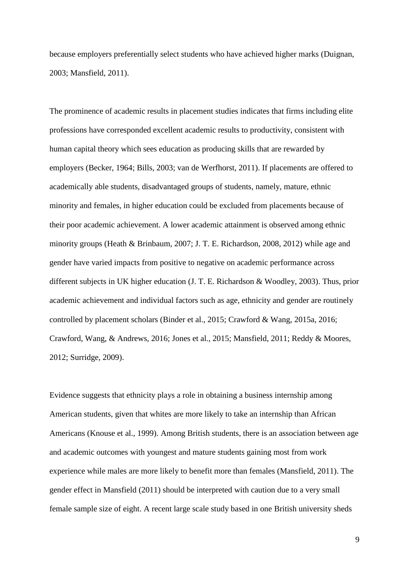because employers preferentially select students who have achieved higher marks (Duignan, 2003; Mansfield, 2011).

The prominence of academic results in placement studies indicates that firms including elite professions have corresponded excellent academic results to productivity, consistent with human capital theory which sees education as producing skills that are rewarded by employers (Becker, 1964; Bills, 2003; van de Werfhorst, 2011). If placements are offered to academically able students, disadvantaged groups of students, namely, mature, ethnic minority and females, in higher education could be excluded from placements because of their poor academic achievement. A lower academic attainment is observed among ethnic minority groups (Heath & Brinbaum, 2007; J. T. E. Richardson, 2008, 2012) while age and gender have varied impacts from positive to negative on academic performance across different subjects in UK higher education (J. T. E. Richardson & Woodley, 2003). Thus, prior academic achievement and individual factors such as age, ethnicity and gender are routinely controlled by placement scholars (Binder et al., 2015; Crawford & Wang, 2015a, 2016; Crawford, Wang, & Andrews, 2016; Jones et al., 2015; Mansfield, 2011; Reddy & Moores, 2012; Surridge, 2009).

Evidence suggests that ethnicity plays a role in obtaining a business internship among American students, given that whites are more likely to take an internship than African Americans (Knouse et al., 1999). Among British students, there is an association between age and academic outcomes with youngest and mature students gaining most from work experience while males are more likely to benefit more than females (Mansfield, 2011). The gender effect in Mansfield (2011) should be interpreted with caution due to a very small female sample size of eight. A recent large scale study based in one British university sheds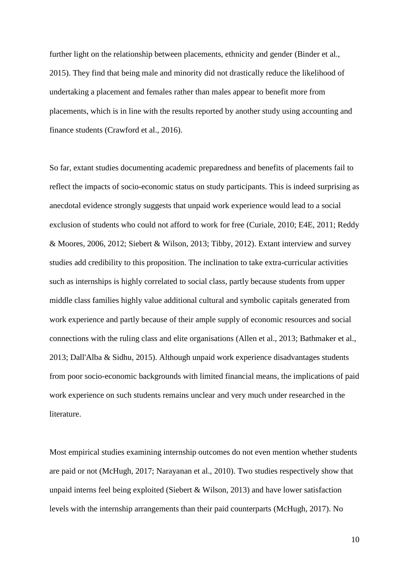further light on the relationship between placements, ethnicity and gender (Binder et al., 2015). They find that being male and minority did not drastically reduce the likelihood of undertaking a placement and females rather than males appear to benefit more from placements, which is in line with the results reported by another study using accounting and finance students (Crawford et al., 2016).

So far, extant studies documenting academic preparedness and benefits of placements fail to reflect the impacts of socio-economic status on study participants. This is indeed surprising as anecdotal evidence strongly suggests that unpaid work experience would lead to a social exclusion of students who could not afford to work for free (Curiale, 2010; E4E, 2011; Reddy & Moores, 2006, 2012; Siebert & Wilson, 2013; Tibby, 2012). Extant interview and survey studies add credibility to this proposition. The inclination to take extra-curricular activities such as internships is highly correlated to social class, partly because students from upper middle class families highly value additional cultural and symbolic capitals generated from work experience and partly because of their ample supply of economic resources and social connections with the ruling class and elite organisations (Allen et al., 2013; Bathmaker et al., 2013; Dall'Alba & Sidhu, 2015). Although unpaid work experience disadvantages students from poor socio-economic backgrounds with limited financial means, the implications of paid work experience on such students remains unclear and very much under researched in the literature.

Most empirical studies examining internship outcomes do not even mention whether students are paid or not (McHugh, 2017; Narayanan et al., 2010). Two studies respectively show that unpaid interns feel being exploited (Siebert & Wilson, 2013) and have lower satisfaction levels with the internship arrangements than their paid counterparts (McHugh, 2017). No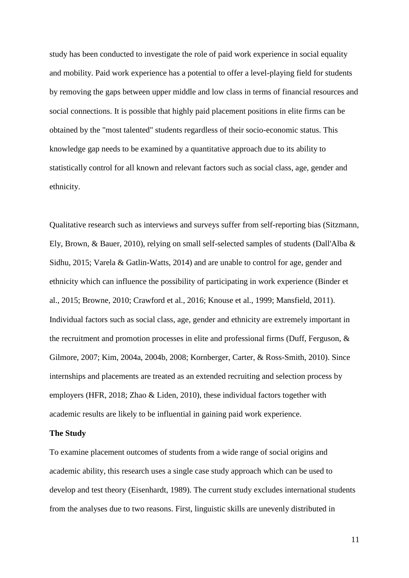study has been conducted to investigate the role of paid work experience in social equality and mobility. Paid work experience has a potential to offer a level-playing field for students by removing the gaps between upper middle and low class in terms of financial resources and social connections. It is possible that highly paid placement positions in elite firms can be obtained by the "most talented" students regardless of their socio-economic status. This knowledge gap needs to be examined by a quantitative approach due to its ability to statistically control for all known and relevant factors such as social class, age, gender and ethnicity.

Qualitative research such as interviews and surveys suffer from self-reporting bias (Sitzmann, Ely, Brown, & Bauer, 2010), relying on small self-selected samples of students (Dall'Alba & Sidhu, 2015; Varela & Gatlin-Watts, 2014) and are unable to control for age, gender and ethnicity which can influence the possibility of participating in work experience (Binder et al., 2015; Browne, 2010; Crawford et al., 2016; Knouse et al., 1999; Mansfield, 2011). Individual factors such as social class, age, gender and ethnicity are extremely important in the recruitment and promotion processes in elite and professional firms (Duff, Ferguson, & Gilmore, 2007; Kim, 2004a, 2004b, 2008; Kornberger, Carter, & Ross-Smith, 2010). Since internships and placements are treated as an extended recruiting and selection process by employers (HFR, 2018; Zhao & Liden, 2010), these individual factors together with academic results are likely to be influential in gaining paid work experience.

#### **The Study**

To examine placement outcomes of students from a wide range of social origins and academic ability, this research uses a single case study approach which can be used to develop and test theory (Eisenhardt, 1989). The current study excludes international students from the analyses due to two reasons. First, linguistic skills are unevenly distributed in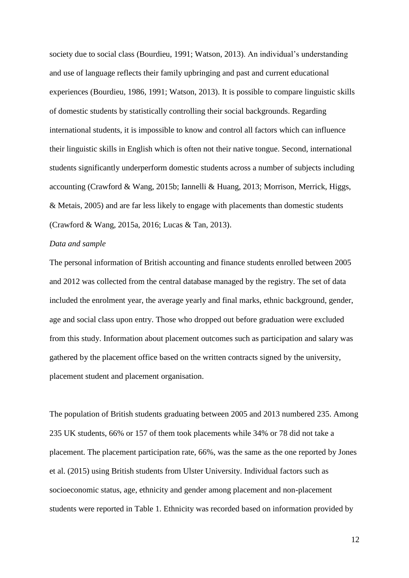society due to social class (Bourdieu, 1991; Watson, 2013). An individual's understanding and use of language reflects their family upbringing and past and current educational experiences (Bourdieu, 1986, 1991; Watson, 2013). It is possible to compare linguistic skills of domestic students by statistically controlling their social backgrounds. Regarding international students, it is impossible to know and control all factors which can influence their linguistic skills in English which is often not their native tongue. Second, international students significantly underperform domestic students across a number of subjects including accounting (Crawford & Wang, 2015b; Iannelli & Huang, 2013; Morrison, Merrick, Higgs, & Metais, 2005) and are far less likely to engage with placements than domestic students (Crawford & Wang, 2015a, 2016; Lucas & Tan, 2013).

#### *Data and sample*

The personal information of British accounting and finance students enrolled between 2005 and 2012 was collected from the central database managed by the registry. The set of data included the enrolment year, the average yearly and final marks, ethnic background, gender, age and social class upon entry. Those who dropped out before graduation were excluded from this study. Information about placement outcomes such as participation and salary was gathered by the placement office based on the written contracts signed by the university, placement student and placement organisation.

The population of British students graduating between 2005 and 2013 numbered 235. Among 235 UK students, 66% or 157 of them took placements while 34% or 78 did not take a placement. The placement participation rate, 66%, was the same as the one reported by Jones et al. (2015) using British students from Ulster University. Individual factors such as socioeconomic status, age, ethnicity and gender among placement and non-placement students were reported in Table 1. Ethnicity was recorded based on information provided by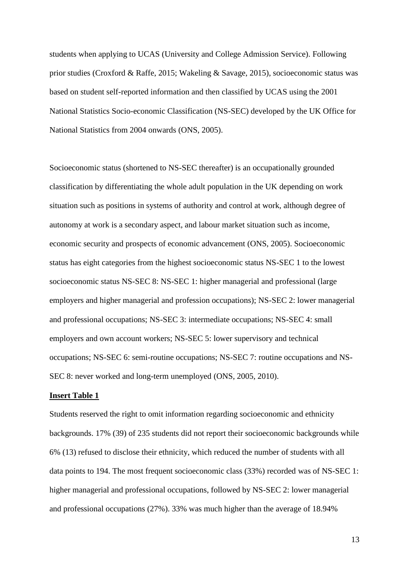students when applying to UCAS (University and College Admission Service). Following prior studies (Croxford & Raffe, 2015; Wakeling & Savage, 2015), socioeconomic status was based on student self-reported information and then classified by UCAS using the 2001 National Statistics Socio-economic Classification (NS-SEC) developed by the UK Office for National Statistics from 2004 onwards (ONS, 2005).

Socioeconomic status (shortened to NS-SEC thereafter) is an occupationally grounded classification by differentiating the whole adult population in the UK depending on work situation such as positions in systems of authority and control at work, although degree of autonomy at work is a secondary aspect, and labour market situation such as income, economic security and prospects of economic advancement (ONS, 2005). Socioeconomic status has eight categories from the highest socioeconomic status NS-SEC 1 to the lowest socioeconomic status NS-SEC 8: NS-SEC 1: higher managerial and professional (large employers and higher managerial and profession occupations); NS-SEC 2: lower managerial and professional occupations; NS-SEC 3: intermediate occupations; NS-SEC 4: small employers and own account workers; NS-SEC 5: lower supervisory and technical occupations; NS-SEC 6: semi-routine occupations; NS-SEC 7: routine occupations and NS-SEC 8: never worked and long-term unemployed (ONS, 2005, 2010).

#### **Insert Table 1**

Students reserved the right to omit information regarding socioeconomic and ethnicity backgrounds. 17% (39) of 235 students did not report their socioeconomic backgrounds while 6% (13) refused to disclose their ethnicity, which reduced the number of students with all data points to 194. The most frequent socioeconomic class (33%) recorded was of NS-SEC 1: higher managerial and professional occupations, followed by NS-SEC 2: lower managerial and professional occupations (27%). 33% was much higher than the average of 18.94%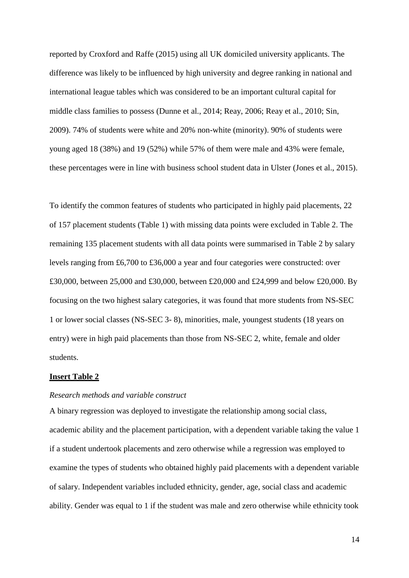reported by Croxford and Raffe (2015) using all UK domiciled university applicants. The difference was likely to be influenced by high university and degree ranking in national and international league tables which was considered to be an important cultural capital for middle class families to possess (Dunne et al., 2014; Reay, 2006; Reay et al., 2010; Sin, 2009). 74% of students were white and 20% non-white (minority). 90% of students were young aged 18 (38%) and 19 (52%) while 57% of them were male and 43% were female, these percentages were in line with business school student data in Ulster (Jones et al., 2015).

To identify the common features of students who participated in highly paid placements, 22 of 157 placement students (Table 1) with missing data points were excluded in Table 2. The remaining 135 placement students with all data points were summarised in Table 2 by salary levels ranging from £6,700 to £36,000 a year and four categories were constructed: over £30,000, between 25,000 and £30,000, between £20,000 and £24,999 and below £20,000. By focusing on the two highest salary categories, it was found that more students from NS-SEC 1 or lower social classes (NS-SEC 3- 8), minorities, male, youngest students (18 years on entry) were in high paid placements than those from NS-SEC 2, white, female and older students.

#### **Insert Table 2**

#### *Research methods and variable construct*

A binary regression was deployed to investigate the relationship among social class, academic ability and the placement participation, with a dependent variable taking the value 1 if a student undertook placements and zero otherwise while a regression was employed to examine the types of students who obtained highly paid placements with a dependent variable of salary. Independent variables included ethnicity, gender, age, social class and academic ability. Gender was equal to 1 if the student was male and zero otherwise while ethnicity took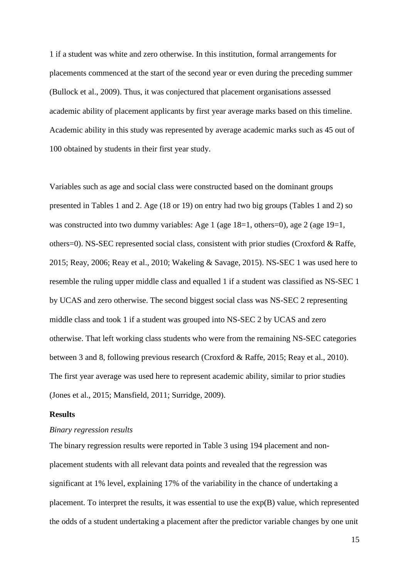1 if a student was white and zero otherwise. In this institution, formal arrangements for placements commenced at the start of the second year or even during the preceding summer (Bullock et al., 2009). Thus, it was conjectured that placement organisations assessed academic ability of placement applicants by first year average marks based on this timeline. Academic ability in this study was represented by average academic marks such as 45 out of 100 obtained by students in their first year study.

Variables such as age and social class were constructed based on the dominant groups presented in Tables 1 and 2. Age (18 or 19) on entry had two big groups (Tables 1 and 2) so was constructed into two dummy variables: Age 1 (age 18=1, others=0), age 2 (age 19=1, others=0). NS-SEC represented social class, consistent with prior studies (Croxford & Raffe, 2015; Reay, 2006; Reay et al., 2010; Wakeling & Savage, 2015). NS-SEC 1 was used here to resemble the ruling upper middle class and equalled 1 if a student was classified as NS-SEC 1 by UCAS and zero otherwise. The second biggest social class was NS-SEC 2 representing middle class and took 1 if a student was grouped into NS-SEC 2 by UCAS and zero otherwise. That left working class students who were from the remaining NS-SEC categories between 3 and 8, following previous research (Croxford & Raffe, 2015; Reay et al., 2010). The first year average was used here to represent academic ability, similar to prior studies (Jones et al., 2015; Mansfield, 2011; Surridge, 2009).

#### **Results**

#### *Binary regression results*

The binary regression results were reported in Table 3 using 194 placement and nonplacement students with all relevant data points and revealed that the regression was significant at 1% level, explaining 17% of the variability in the chance of undertaking a placement. To interpret the results, it was essential to use the exp(B) value, which represented the odds of a student undertaking a placement after the predictor variable changes by one unit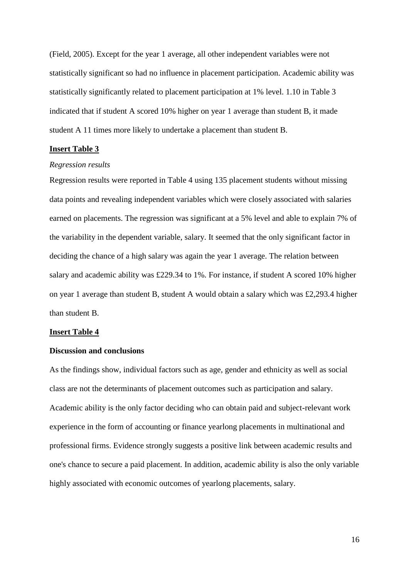(Field, 2005). Except for the year 1 average, all other independent variables were not statistically significant so had no influence in placement participation. Academic ability was statistically significantly related to placement participation at 1% level. 1.10 in Table 3 indicated that if student A scored 10% higher on year 1 average than student B, it made student A 11 times more likely to undertake a placement than student B.

#### **Insert Table 3**

#### *Regression results*

Regression results were reported in Table 4 using 135 placement students without missing data points and revealing independent variables which were closely associated with salaries earned on placements. The regression was significant at a 5% level and able to explain 7% of the variability in the dependent variable, salary. It seemed that the only significant factor in deciding the chance of a high salary was again the year 1 average. The relation between salary and academic ability was £229.34 to 1%. For instance, if student A scored 10% higher on year 1 average than student B, student A would obtain a salary which was £2,293.4 higher than student B.

#### **Insert Table 4**

#### **Discussion and conclusions**

As the findings show, individual factors such as age, gender and ethnicity as well as social class are not the determinants of placement outcomes such as participation and salary. Academic ability is the only factor deciding who can obtain paid and subject-relevant work experience in the form of accounting or finance yearlong placements in multinational and professional firms. Evidence strongly suggests a positive link between academic results and one's chance to secure a paid placement. In addition, academic ability is also the only variable highly associated with economic outcomes of yearlong placements, salary.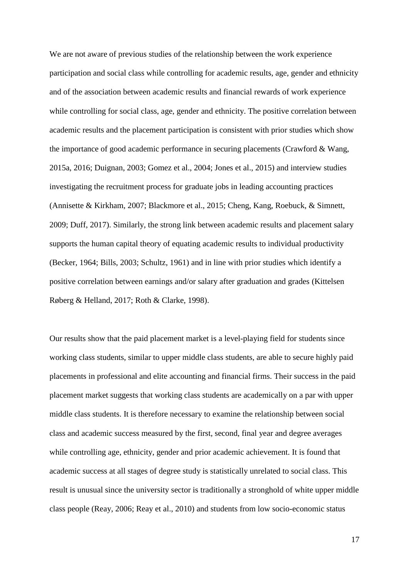We are not aware of previous studies of the relationship between the work experience participation and social class while controlling for academic results, age, gender and ethnicity and of the association between academic results and financial rewards of work experience while controlling for social class, age, gender and ethnicity. The positive correlation between academic results and the placement participation is consistent with prior studies which show the importance of good academic performance in securing placements (Crawford & Wang, 2015a, 2016; Duignan, 2003; Gomez et al., 2004; Jones et al., 2015) and interview studies investigating the recruitment process for graduate jobs in leading accounting practices (Annisette & Kirkham, 2007; Blackmore et al., 2015; Cheng, Kang, Roebuck, & Simnett, 2009; Duff, 2017). Similarly, the strong link between academic results and placement salary supports the human capital theory of equating academic results to individual productivity (Becker, 1964; Bills, 2003; Schultz, 1961) and in line with prior studies which identify a positive correlation between earnings and/or salary after graduation and grades (Kittelsen Røberg & Helland, 2017; Roth & Clarke, 1998).

Our results show that the paid placement market is a level-playing field for students since working class students, similar to upper middle class students, are able to secure highly paid placements in professional and elite accounting and financial firms. Their success in the paid placement market suggests that working class students are academically on a par with upper middle class students. It is therefore necessary to examine the relationship between social class and academic success measured by the first, second, final year and degree averages while controlling age, ethnicity, gender and prior academic achievement. It is found that academic success at all stages of degree study is statistically unrelated to social class. This result is unusual since the university sector is traditionally a stronghold of white upper middle class people (Reay, 2006; Reay et al., 2010) and students from low socio-economic status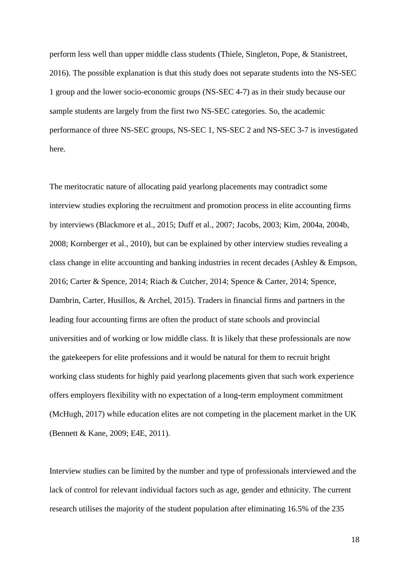perform less well than upper middle class students (Thiele, Singleton, Pope, & Stanistreet, 2016). The possible explanation is that this study does not separate students into the NS-SEC 1 group and the lower socio-economic groups (NS-SEC 4-7) as in their study because our sample students are largely from the first two NS-SEC categories. So, the academic performance of three NS-SEC groups, NS-SEC 1, NS-SEC 2 and NS-SEC 3-7 is investigated here.

The meritocratic nature of allocating paid yearlong placements may contradict some interview studies exploring the recruitment and promotion process in elite accounting firms by interviews (Blackmore et al., 2015; Duff et al., 2007; Jacobs, 2003; Kim, 2004a, 2004b, 2008; Kornberger et al., 2010), but can be explained by other interview studies revealing a class change in elite accounting and banking industries in recent decades (Ashley & Empson, 2016; Carter & Spence, 2014; Riach & Cutcher, 2014; Spence & Carter, 2014; Spence, Dambrin, Carter, Husillos, & Archel, 2015). Traders in financial firms and partners in the leading four accounting firms are often the product of state schools and provincial universities and of working or low middle class. It is likely that these professionals are now the gatekeepers for elite professions and it would be natural for them to recruit bright working class students for highly paid yearlong placements given that such work experience offers employers flexibility with no expectation of a long-term employment commitment (McHugh, 2017) while education elites are not competing in the placement market in the UK (Bennett & Kane, 2009; E4E, 2011).

Interview studies can be limited by the number and type of professionals interviewed and the lack of control for relevant individual factors such as age, gender and ethnicity. The current research utilises the majority of the student population after eliminating 16.5% of the 235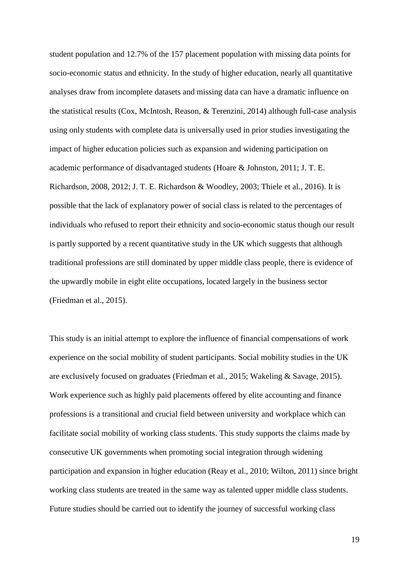student population and 12.7% of the 157 placement population with missing data points for socio-economic status and ethnicity. In the study of higher education, nearly all quantitative analyses draw from incomplete datasets and missing data can have a dramatic influence on the statistical results (Cox, McIntosh, Reason, & Terenzini, 2014) although full-case analysis using only students with complete data is universally used in prior studies investigating the impact of higher education policies such as expansion and widening participation on academic performance of disadvantaged students (Hoare & Johnston, 2011; J. T. E. Richardson, 2008, 2012; J. T. E. Richardson & Woodley, 2003; Thiele et al., 2016). It is possible that the lack of explanatory power of social class is related to the percentages of individuals who refused to report their ethnicity and socio-economic status though our result is partly supported by a recent quantitative study in the UK which suggests that although traditional professions are still dominated by upper middle class people, there is evidence of the upwardly mobile in eight elite occupations, located largely in the business sector (Friedman et al., 2015).

This study is an initial attempt to explore the influence of financial compensations of work experience on the social mobility of student participants. Social mobility studies in the UK are exclusively focused on graduates (Friedman et al., 2015; Wakeling & Savage, 2015). Work experience such as highly paid placements offered by elite accounting and finance professions is a transitional and crucial field between university and workplace which can facilitate social mobility of working class students. This study supports the claims made by consecutive UK governments when promoting social integration through widening participation and expansion in higher education (Reay et al., 2010; Wilton, 2011) since bright working class students are treated in the same way as talented upper middle class students. Future studies should be carried out to identify the journey of successful working class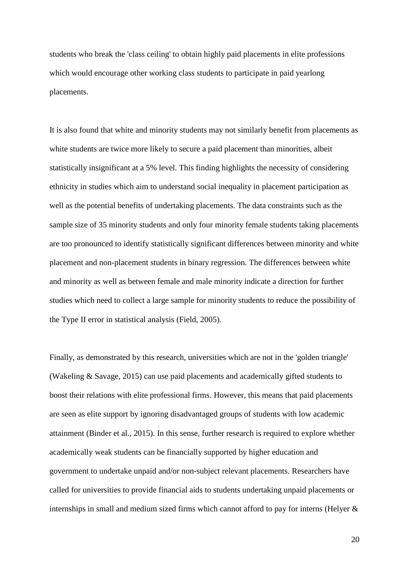students who break the 'class ceiling' to obtain highly paid placements in elite professions which would encourage other working class students to participate in paid yearlong placements.

It is also found that white and minority students may not similarly benefit from placements as white students are twice more likely to secure a paid placement than minorities, albeit statistically insignificant at a 5% level. This finding highlights the necessity of considering ethnicity in studies which aim to understand social inequality in placement participation as well as the potential benefits of undertaking placements. The data constraints such as the sample size of 35 minority students and only four minority female students taking placements are too pronounced to identify statistically significant differences between minority and white placement and non-placement students in binary regression. The differences between white and minority as well as between female and male minority indicate a direction for further studies which need to collect a large sample for minority students to reduce the possibility of the Type II error in statistical analysis (Field, 2005).

Finally, as demonstrated by this research, universities which are not in the 'golden triangle' (Wakeling & Savage, 2015) can use paid placements and academically gifted students to boost their relations with elite professional firms. However, this means that paid placements are seen as elite support by ignoring disadvantaged groups of students with low academic attainment (Binder et al., 2015). In this sense, further research is required to explore whether academically weak students can be financially supported by higher education and government to undertake unpaid and/or non-subject relevant placements. Researchers have called for universities to provide financial aids to students undertaking unpaid placements or internships in small and medium sized firms which cannot afford to pay for interns (Helyer &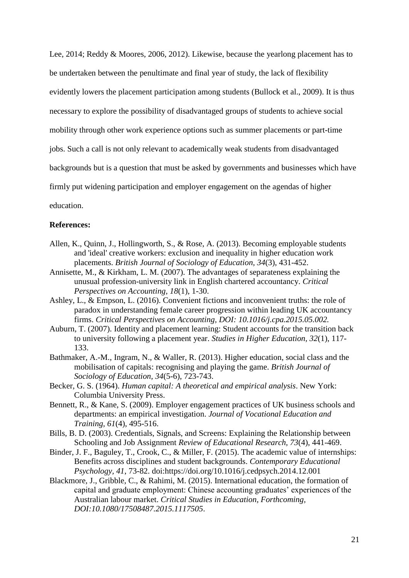Lee, 2014; Reddy & Moores, 2006, 2012). Likewise, because the yearlong placement has to be undertaken between the penultimate and final year of study, the lack of flexibility evidently lowers the placement participation among students (Bullock et al., 2009). It is thus necessary to explore the possibility of disadvantaged groups of students to achieve social mobility through other work experience options such as summer placements or part-time jobs. Such a call is not only relevant to academically weak students from disadvantaged backgrounds but is a question that must be asked by governments and businesses which have firmly put widening participation and employer engagement on the agendas of higher education.

#### **References:**

- Allen, K., Quinn, J., Hollingworth, S., & Rose, A. (2013). Becoming employable students and 'ideal' creative workers: exclusion and inequality in higher education work placements. *British Journal of Sociology of Education, 34*(3), 431-452.
- Annisette, M., & Kirkham, L. M. (2007). The advantages of separateness explaining the unusual profession-university link in English chartered accountancy. *Critical Perspectives on Accounting, 18*(1), 1-30.
- Ashley, L., & Empson, L. (2016). Convenient fictions and inconvenient truths: the role of paradox in understanding female career progression within leading UK accountancy firms. *Critical Perspectives on Accounting, DOI: 10.1016/j.cpa.2015.05.002.*
- Auburn, T. (2007). Identity and placement learning: Student accounts for the transition back to university following a placement year. *Studies in Higher Education, 32*(1), 117- 133.
- Bathmaker, A.-M., Ingram, N., & Waller, R. (2013). Higher education, social class and the mobilisation of capitals: recognising and playing the game. *British Journal of Sociology of Education, 34*(5-6), 723-743.
- Becker, G. S. (1964). *Human capital: A theoretical and empirical analysis*. New York: Columbia University Press.
- Bennett, R., & Kane, S. (2009). Employer engagement practices of UK business schools and departments: an empirical investigation. *Journal of Vocational Education and Training, 61*(4), 495-516.
- Bills, B. D. (2003). Credentials, Signals, and Screens: Explaining the Relationship between Schooling and Job Assignment *Review of Educational Research, 73*(4), 441-469.
- Binder, J. F., Baguley, T., Crook, C., & Miller, F. (2015). The academic value of internships: Benefits across disciplines and student backgrounds. *Contemporary Educational Psychology, 41*, 73-82. doi:https://doi.org/10.1016/j.cedpsych.2014.12.001
- Blackmore, J., Gribble, C., & Rahimi, M. (2015). International education, the formation of capital and graduate employment: Chinese accounting graduates' experiences of the Australian labour market. *Critical Studies in Education, Forthcoming, DOI:10.1080/17508487.2015.1117505*.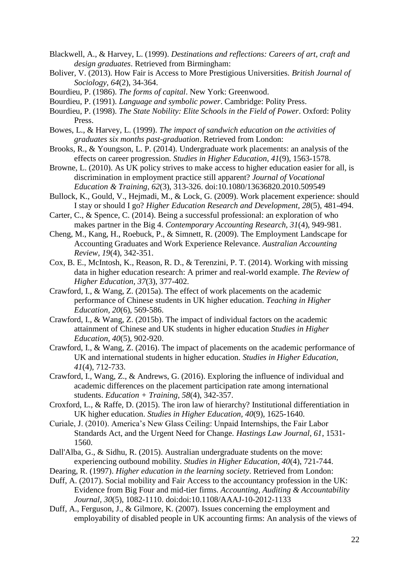- Blackwell, A., & Harvey, L. (1999). *Destinations and reflections: Careers of art, craft and design graduates*. Retrieved from Birmingham:
- Boliver, V. (2013). How Fair is Access to More Prestigious Universities. *British Journal of Sociology, 64*(2), 34-364.
- Bourdieu, P. (1986). *The forms of capital*. New York: Greenwood.
- Bourdieu, P. (1991). *Language and symbolic power*. Cambridge: Polity Press.
- Bourdieu, P. (1998). *The State Nobility: Elite Schools in the Field of Power*. Oxford: Polity Press.
- Bowes, L., & Harvey, L. (1999). *The impact of sandwich education on the activities of graduates six months past-graduation*. Retrieved from London:
- Brooks, R., & Youngson, L. P. (2014). Undergraduate work placements: an analysis of the effects on career progression. *Studies in Higher Education, 41*(9), 1563-1578.
- Browne, L. (2010). As UK policy strives to make access to higher education easier for all, is discrimination in employment practice still apparent? *Journal of Vocational Education & Training, 62*(3), 313-326. doi:10.1080/13636820.2010.509549
- Bullock, K., Gould, V., Hejmadi, M., & Lock, G. (2009). Work placement experience: should I stay or should I go? *Higher Education Research and Development, 28*(5), 481-494.
- Carter, C., & Spence, C. (2014). Being a successful professional: an exploration of who makes partner in the Big 4. *Contemporary Accounting Research, 31*(4), 949-981.
- Cheng, M., Kang, H., Roebuck, P., & Simnett, R. (2009). The Employment Landscape for Accounting Graduates and Work Experience Relevance. *Australian Accounting Review, 19*(4), 342-351.
- Cox, B. E., McIntosh, K., Reason, R. D., & Terenzini, P. T. (2014). Working with missing data in higher education research: A primer and real-world example. *The Review of Higher Education, 37*(3), 377-402.
- Crawford, I., & Wang, Z. (2015a). The effect of work placements on the academic performance of Chinese students in UK higher education. *Teaching in Higher Education, 20*(6), 569-586.
- Crawford, I., & Wang, Z. (2015b). The impact of individual factors on the academic attainment of Chinese and UK students in higher education *Studies in Higher Education, 40*(5), 902-920.
- Crawford, I., & Wang, Z. (2016). The impact of placements on the academic performance of UK and international students in higher education. *Studies in Higher Education, 41*(4), 712-733.
- Crawford, I., Wang, Z., & Andrews, G. (2016). Exploring the influence of individual and academic differences on the placement participation rate among international students. *Education + Training, 58*(4), 342-357.
- Croxford, L., & Raffe, D. (2015). The iron law of hierarchy? Institutional differentiation in UK higher education. *Studies in Higher Education, 40*(9), 1625-1640.
- Curiale, J. (2010). America's New Glass Ceiling: Unpaid Internships, the Fair Labor Standards Act, and the Urgent Need for Change. *Hastings Law Journal, 61*, 1531- 1560.
- Dall'Alba, G., & Sidhu, R. (2015). Australian undergraduate students on the move: experiencing outbound mobility. *Studies in Higher Education, 40*(4), 721-744.
- Dearing, R. (1997). *Higher education in the learning society*. Retrieved from London:
- Duff, A. (2017). Social mobility and Fair Access to the accountancy profession in the UK: Evidence from Big Four and mid-tier firms. *Accounting, Auditing & Accountability Journal, 30*(5), 1082-1110. doi:doi:10.1108/AAAJ-10-2012-1133
- Duff, A., Ferguson, J., & Gilmore, K. (2007). Issues concerning the employment and employability of disabled people in UK accounting firms: An analysis of the views of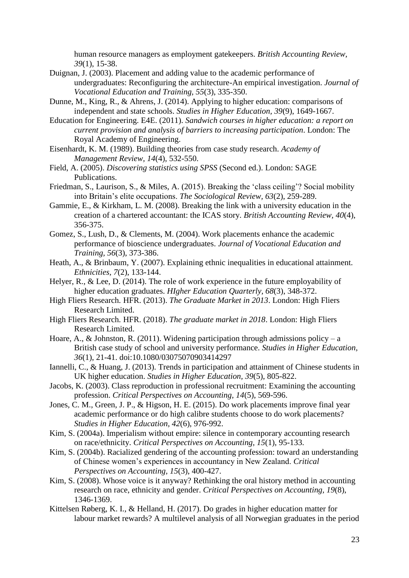human resource managers as employment gatekeepers. *British Accounting Review, 39*(1), 15-38.

- Duignan, J. (2003). Placement and adding value to the academic performance of undergraduates: Reconfiguring the architecture-An empirical investigation. *Journal of Vocational Education and Training, 55*(3), 335-350.
- Dunne, M., King, R., & Ahrens, J. (2014). Applying to higher education: comparisons of independent and state schools. *Studies in Higher Education, 39*(9), 1649-1667.
- Education for Engineering. E4E. (2011). *Sandwich courses in higher education: a report on current provision and analysis of barriers to increasing participation*. London: The Royal Academy of Engineering.
- Eisenhardt, K. M. (1989). Building theories from case study research. *Academy of Management Review, 14*(4), 532-550.
- Field, A. (2005). *Discovering statistics using SPSS* (Second ed.). London: SAGE Publications.
- Friedman, S., Laurison, S., & Miles, A. (2015). Breaking the 'class ceiling'? Social mobility into Britain's elite occupations. *The Sociological Review, 63*(2), 259-289.
- Gammie, E., & Kirkham, L. M. (2008). Breaking the link with a university education in the creation of a chartered accountant: the ICAS story. *British Accounting Review, 40*(4), 356-375.
- Gomez, S., Lush, D., & Clements, M. (2004). Work placements enhance the academic performance of bioscience undergraduates. *Journal of Vocational Education and Training, 56*(3), 373-386.
- Heath, A., & Brinbaum, Y. (2007). Explaining ethnic inequalities in educational attainment. *Ethnicities, 7*(2), 133-144.
- Helyer, R., & Lee, D. (2014). The role of work experience in the future employability of higher education graduates. *HIgher Education Quarterly, 68*(3), 348-372.
- High Fliers Research. HFR. (2013). *The Graduate Market in 2013*. London: High Fliers Research Limited.
- High Fliers Research. HFR. (2018). *The graduate market in 2018*. London: High Fliers Research Limited.
- Hoare, A., & Johnston, R. (2011). Widening participation through admissions policy a British case study of school and university performance. *Studies in Higher Education, 36*(1), 21-41. doi:10.1080/03075070903414297
- Iannelli, C., & Huang, J. (2013). Trends in participation and attainment of Chinese students in UK higher education. *Studies in Higher Education, 39*(5), 805-822.
- Jacobs, K. (2003). Class reproduction in professional recruitment: Examining the accounting profession. *Critical Perspectives on Accounting, 14*(5), 569-596.
- Jones, C. M., Green, J. P., & Higson, H. E. (2015). Do work placements improve final year academic performance or do high calibre students choose to do work placements? *Studies in Higher Education, 42*(6), 976-992.
- Kim, S. (2004a). Imperialism without empire: silence in contemporary accounting research on race/ethnicity. *Critical Perspectives on Accounting, 15*(1), 95-133.
- Kim, S. (2004b). Racialized gendering of the accounting profession: toward an understanding of Chinese women's experiences in accountancy in New Zealand. *Critical Perspectives on Accounting, 15*(3), 400-427.
- Kim, S. (2008). Whose voice is it anyway? Rethinking the oral history method in accounting research on race, ethnicity and gender. *Critical Perspectives on Accounting, 19*(8), 1346-1369.
- Kittelsen Røberg, K. I., & Helland, H. (2017). Do grades in higher education matter for labour market rewards? A multilevel analysis of all Norwegian graduates in the period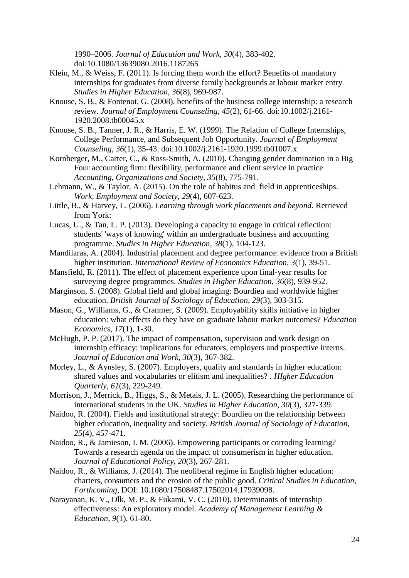1990–2006. *Journal of Education and Work, 30*(4), 383-402. doi:10.1080/13639080.2016.1187265

- Klein, M., & Weiss, F. (2011). Is forcing them worth the effort? Benefits of mandatory internships for graduates from diverse family backgrounds at labour market entry *Studies in Higher Education, 36*(8), 969-987.
- Knouse, S. B., & Fontenot, G. (2008). benefits of the business college internship: a research review. *Journal of Employment Counseling, 45*(2), 61-66. doi:10.1002/j.2161- 1920.2008.tb00045.x
- Knouse, S. B., Tanner, J. R., & Harris, E. W. (1999). The Relation of College Internships, College Performance, and Subsequent Job Opportunity. *Journal of Employment Counseling, 36*(1), 35-43. doi:10.1002/j.2161-1920.1999.tb01007.x

Kornberger, M., Carter, C., & Ross-Smith, A. (2010). Changing gender domination in a Big Four accounting firm: flexibility, performance and client service in practice *Accounting, Organizations and Society, 35*(8), 775-791.

Lehmann, W., & Taylor, A. (2015). On the role of habitus and field in apprenticeships. *Work, Employment and Society, 29*(4), 607-623.

Little, B., & Harvey, L. (2006). *Learning through work placements and beyond*. Retrieved from York:

Lucas, U., & Tan, L. P. (2013). Developing a capacity to engage in critical reflection: students' 'ways of knowing' within an undergraduate business and accounting programme. *Studies in Higher Education, 38*(1), 104-123.

Mandilaras, A. (2004). Industrial placement and degree performance: evidence from a British higher institution. *International Review of Economics Education, 3*(1), 39-51.

- Mansfield, R. (2011). The effect of placement experience upon final-year results for surveying degree programmes. *Studies in Higher Education, 36*(8), 939-952.
- Marginson, S. (2008). Global field and global imaging: Bourdieu and worldwide higher education. *British Journal of Sociology of Education, 29*(3), 303-315.

Mason, G., Williams, G., & Cranmer, S. (2009). Employability skills initiative in higher education: what effects do they have on graduate labour market outcomes? *Education Economics, 17*(1), 1-30.

McHugh, P. P. (2017). The impact of compensation, supervision and work design on internship efficacy: implications for educators, employers and prospective interns. *Journal of Education and Work, 30*(3), 367-382.

Morley, L., & Aynsley, S. (2007). Employers, quality and standards in higher education: shared values and vocabularies or elitism and inequalities? . *HIgher Education Quarterly, 61*(3), 229-249.

Morrison, J., Merrick, B., Higgs, S., & Metais, J. L. (2005). Researching the performance of international students in the UK. *Studies in Higher Education, 30*(3), 327-339.

Naidoo, R. (2004). Fields and institutional strategy: Bourdieu on the relationship between higher education, inequality and society. *British Journal of Sociology of Education, 25*(4), 457-471.

Naidoo, R., & Jamieson, I. M. (2006). Empowering participants or corroding learning? Towards a research agenda on the impact of consumerism in higher education. *Journal of Educational Policy, 20*(3), 267-281.

Naidoo, R., & Williams, J. (2014). The neoliberal regime in English higher education: charters, consumers and the erosion of the public good. *Critical Studies in Education, Forthcoming*, DOI: 10.1080/17508487.17502014.17939098.

Narayanan, K. V., Olk, M. P., & Fukami, V. C. (2010). Determinants of internship effectiveness: An exploratory model. *Academy of Management Learning & Education, 9*(1), 61-80.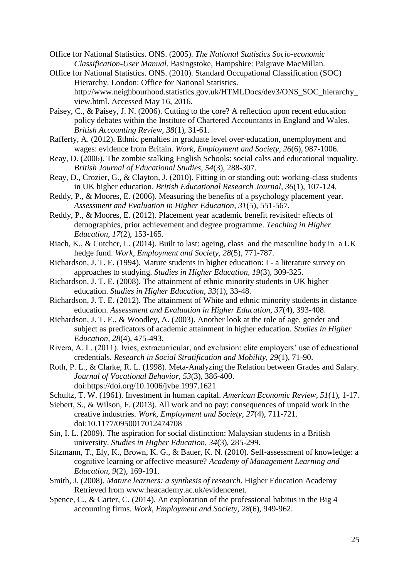- Office for National Statistics. ONS. (2005). *The National Statistics Socio-economic Classification-User Manual*. Basingstoke, Hampshire: Palgrave MacMillan.
- Office for National Statistics. ONS. (2010). Standard Occupational Classification (SOC) Hierarchy. London: Office for National Statistics. http://www.neighbourhood.statistics.gov.uk/HTMLDocs/dev3/ONS\_SOC\_hierarchy\_ view.html. Accessed May 16, 2016.
- Paisey, C., & Paisey, J. N. (2006). Cutting to the core? A reflection upon recent education policy debates within the Institute of Chartered Accountants in England and Wales. *British Accounting Review, 38*(1), 31-61.
- Rafferty, A. (2012). Ethnic penalties in graduate level over-education, unemployment and wages: evidence from Britain. *Work, Employment and Society, 26*(6), 987-1006.
- Reay, D. (2006). The zombie stalking English Schools: social calss and educational inquality. *British Journal of Educational Studies, 54*(3), 288-307.
- Reay, D., Crozier, G., & Clayton, J. (2010). Fitting in or standing out: working-class students in UK higher education. *British Educational Research Journal, 36*(1), 107-124.
- Reddy, P., & Moores, E. (2006). Measuring the benefits of a psychology placement year. *Assessment and Evaluation in Higher Education, 31*(5), 551-567.
- Reddy, P., & Moores, E. (2012). Placement year academic benefit revisited: effects of demographics, prior achievement and degree programme. *Teaching in Higher Education, 17*(2), 153-165.
- Riach, K., & Cutcher, L. (2014). Built to last: ageing, class and the masculine body in a UK hedge fund. *Work, Employment and Society, 28*(5), 771-787.
- Richardson, J. T. E. (1994). Mature students in higher education: I a literature survey on approaches to studying. *Studies in Higher Education, 19*(3), 309-325.
- Richardson, J. T. E. (2008). The attainment of ethnic minority students in UK higher education. *Studies in Higher Education, 33*(1), 33-48.
- Richardson, J. T. E. (2012). The attainment of White and ethnic minority students in distance education. *Assessment and Evaluation in Higher Education, 37*(4), 393-408.
- Richardson, J. T. E., & Woodley, A. (2003). Another look at the role of age, gender and subject as predicators of academic attainment in higher education. *Studies in Higher Education, 28*(4), 475-493.
- Rivera, A. L. (2011). Ivies, extracurricular, and exclusion: elite employers' use of educational credentials. *Research in Social Stratification and Mobility, 29*(1), 71-90.
- Roth, P. L., & Clarke, R. L. (1998). Meta-Analyzing the Relation between Grades and Salary. *Journal of Vocational Behavior, 53*(3), 386-400. doi:https://doi.org/10.1006/jvbe.1997.1621
- Schultz, T. W. (1961). Investment in human capital. *American Economic Review, 51*(1), 1-17.
- Siebert, S., & Wilson, F. (2013). All work and no pay: consequences of unpaid work in the creative industries. *Work, Employment and Society, 27*(4), 711-721. doi:10.1177/0950017012474708
- Sin, I. L. (2009). The aspiration for social distinction: Malaysian students in a British university. *Studies in Higher Education, 34*(3), 285-299.
- Sitzmann, T., Ely, K., Brown, K. G., & Bauer, K. N. (2010). Self-assessment of knowledge: a cognitive learning or affective measure? *Academy of Management Learning and Education, 9*(2), 169-191.
- Smith, J. (2008). *Mature learners: a synthesis of research*. Higher Education Academy Retrieved from www.heacademy.ac.uk/evidencenet.
- Spence, C., & Carter, C. (2014). An exploration of the professional habitus in the Big 4 accounting firms. *Work, Employment and Society, 28*(6), 949-962.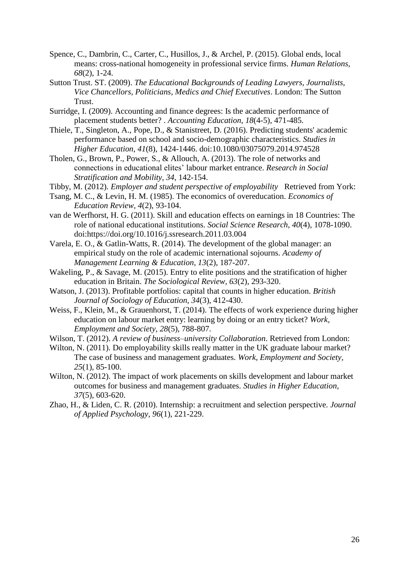- Spence, C., Dambrin, C., Carter, C., Husillos, J., & Archel, P. (2015). Global ends, local means: cross-national homogeneity in professional service firms. *Human Relations, 68*(2), 1-24.
- Sutton Trust. ST. (2009). *The Educational Backgrounds of Leading Lawyers, Journalists, Vice Chancellors, Politicians, Medics and Chief Executives*. London: The Sutton Trust.
- Surridge, I. (2009). Accounting and finance degrees: Is the academic performance of placement students better? . *Accounting Education, 18*(4-5), 471-485.
- Thiele, T., Singleton, A., Pope, D., & Stanistreet, D. (2016). Predicting students' academic performance based on school and socio-demographic characteristics. *Studies in Higher Education, 41*(8), 1424-1446. doi:10.1080/03075079.2014.974528
- Tholen, G., Brown, P., Power, S., & Allouch, A. (2013). The role of networks and connections in educational elites' labour market entrance. *Research in Social Stratification and Mobility, 34*, 142-154.
- Tibby, M. (2012). *Employer and student perspective of employability* Retrieved from York:
- Tsang, M. C., & Levin, H. M. (1985). The economics of overeducation. *Economics of Education Review, 4*(2), 93-104.
- van de Werfhorst, H. G. (2011). Skill and education effects on earnings in 18 Countries: The role of national educational institutions. *Social Science Research, 40*(4), 1078-1090. doi:https://doi.org/10.1016/j.ssresearch.2011.03.004
- Varela, E. O., & Gatlin-Watts, R. (2014). The development of the global manager: an empirical study on the role of academic international sojourns. *Academy of Management Learning & Education, 13*(2), 187-207.
- Wakeling, P., & Savage, M. (2015). Entry to elite positions and the stratification of higher education in Britain. *The Sociological Review, 63*(2), 293-320.
- Watson, J. (2013). Profitable portfolios: capital that counts in higher education. *British Journal of Sociology of Education, 34*(3), 412-430.
- Weiss, F., Klein, M., & Grauenhorst, T. (2014). The effects of work experience during higher education on labour market entry: learning by doing or an entry ticket? *Work, Employment and Society, 28*(5), 788-807.

Wilson, T. (2012). *A review of business–university Collaboration*. Retrieved from London:

- Wilton, N. (2011). Do employability skills really matter in the UK graduate labour market? The case of business and management graduates. *Work, Employment and Society, 25*(1), 85-100.
- Wilton, N. (2012). The impact of work placements on skills development and labour market outcomes for business and management graduates. *Studies in Higher Education, 37*(5), 603-620.
- Zhao, H., & Liden, C. R. (2010). Internship: a recruitment and selection perspective. *Journal of Applied Psychology, 96*(1), 221-229.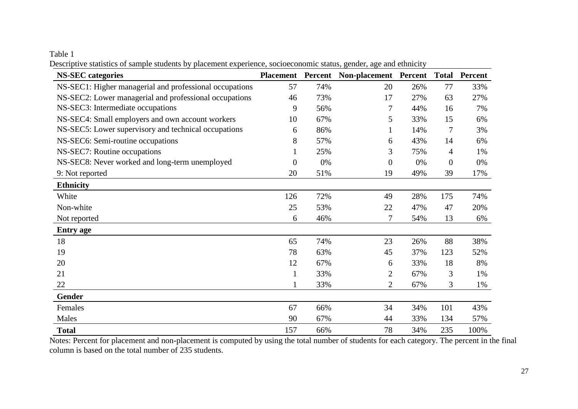Table 1

Descriptive statistics of sample students by placement experience, socioeconomic status, gender, age and ethnicity

| <b>NS-SEC</b> categories                                | <b>Placement</b> | Percent | Non-placement Percent |     |                  | <b>Total Percent</b> |
|---------------------------------------------------------|------------------|---------|-----------------------|-----|------------------|----------------------|
| NS-SEC1: Higher managerial and professional occupations | 57               | 74%     | 20                    | 26% | 77               | 33%                  |
| NS-SEC2: Lower managerial and professional occupations  | 46               | 73%     | 17                    | 27% | 63               | 27%                  |
| NS-SEC3: Intermediate occupations                       | 9                | 56%     | 7                     | 44% | 16               | 7%                   |
| NS-SEC4: Small employers and own account workers        | 10               | 67%     | 5                     | 33% | 15               | 6%                   |
| NS-SEC5: Lower supervisory and technical occupations    | 6                | 86%     | $\mathbf{1}$          | 14% | 7                | 3%                   |
| NS-SEC6: Semi-routine occupations                       | 8                | 57%     | 6                     | 43% | 14               | 6%                   |
| NS-SEC7: Routine occupations                            |                  | 25%     | 3                     | 75% | 4                | 1%                   |
| NS-SEC8: Never worked and long-term unemployed          | $\overline{0}$   | 0%      | $\boldsymbol{0}$      | 0%  | $\boldsymbol{0}$ | 0%                   |
| 9: Not reported                                         | 20               | 51%     | 19                    | 49% | 39               | 17%                  |
| <b>Ethnicity</b>                                        |                  |         |                       |     |                  |                      |
| White                                                   | 126              | 72%     | 49                    | 28% | 175              | 74%                  |
| Non-white                                               | 25               | 53%     | 22                    | 47% | 47               | 20%                  |
| Not reported                                            | 6                | 46%     | 7                     | 54% | 13               | 6%                   |
| <b>Entry age</b>                                        |                  |         |                       |     |                  |                      |
| 18                                                      | 65               | 74%     | 23                    | 26% | 88               | 38%                  |
| 19                                                      | 78               | 63%     | 45                    | 37% | 123              | 52%                  |
| 20                                                      | 12               | 67%     | 6                     | 33% | 18               | 8%                   |
| 21                                                      | 1                | 33%     | $\overline{2}$        | 67% | 3                | 1%                   |
| 22                                                      |                  | 33%     | $\overline{2}$        | 67% | 3                | 1%                   |
| Gender                                                  |                  |         |                       |     |                  |                      |
| Females                                                 | 67               | 66%     | 34                    | 34% | 101              | 43%                  |
| Males                                                   | 90               | 67%     | 44                    | 33% | 134              | 57%                  |
| <b>Total</b>                                            | 157              | 66%     | 78                    | 34% | 235              | 100%                 |

Notes: Percent for placement and non-placement is computed by using the total number of students for each category. The percent in the final column is based on the total number of 235 students.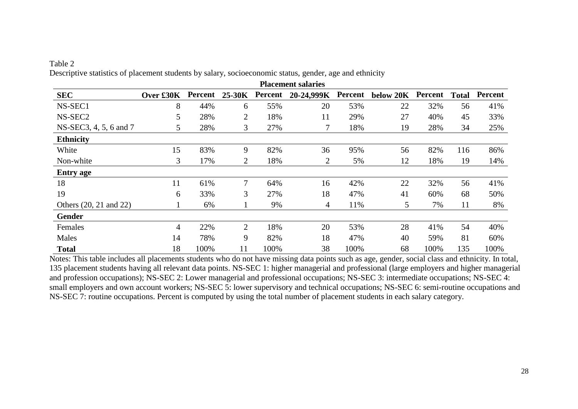|                        |           |         |                |         | <b>Placement salaries</b> |                |           |         |              |         |
|------------------------|-----------|---------|----------------|---------|---------------------------|----------------|-----------|---------|--------------|---------|
| <b>SEC</b>             | Over £30K | Percent | $25-30K$       | Percent | 20-24,999K                | <b>Percent</b> | below 20K | Percent | <b>Total</b> | Percent |
| NS-SEC1                | 8         | 44%     | 6              | 55%     | 20                        | 53%            | 22        | 32%     | 56           | 41%     |
| NS-SEC <sub>2</sub>    | 5         | 28%     | $\overline{2}$ | 18%     | 11                        | 29%            | 27        | 40%     | 45           | 33%     |
| NS-SEC3, 4, 5, 6 and 7 | 5         | 28%     | 3              | 27%     |                           | 18%            | 19        | 28%     | 34           | 25%     |
| <b>Ethnicity</b>       |           |         |                |         |                           |                |           |         |              |         |
| White                  | 15        | 83%     | 9              | 82%     | 36                        | 95%            | 56        | 82%     | 116          | 86%     |
| Non-white              | 3         | 17%     | $\overline{2}$ | 18%     | 2                         | 5%             | 12        | 18%     | 19           | 14%     |
| <b>Entry age</b>       |           |         |                |         |                           |                |           |         |              |         |
| 18                     | 11        | 61%     | 7              | 64%     | 16                        | 42%            | 22        | 32%     | 56           | 41%     |
| 19                     | 6         | 33%     | 3              | 27%     | 18                        | 47%            | 41        | 60%     | 68           | 50%     |
| Others (20, 21 and 22) |           | 6%      |                | 9%      | 4                         | 11%            | 5         | 7%      | 11           | 8%      |
| <b>Gender</b>          |           |         |                |         |                           |                |           |         |              |         |
| Females                | 4         | 22%     | $\overline{2}$ | 18%     | 20                        | 53%            | 28        | 41%     | 54           | 40%     |
| Males                  | 14        | 78%     | 9              | 82%     | 18                        | 47%            | 40        | 59%     | 81           | 60%     |
| <b>Total</b>           | 18        | 100%    | 11             | 100%    | 38                        | 100%           | 68        | 100%    | 135          | 100%    |

Table 2 Descriptive statistics of placement students by salary, socioeconomic status, gender, age and ethnicity

Notes: This table includes all placements students who do not have missing data points such as age, gender, social class and ethnicity. In total, 135 placement students having all relevant data points. NS-SEC 1: higher managerial and professional (large employers and higher managerial and profession occupations); NS-SEC 2: Lower managerial and professional occupations; NS-SEC 3: intermediate occupations; NS-SEC 4: small employers and own account workers; NS-SEC 5: lower supervisory and technical occupations; NS-SEC 6: semi-routine occupations and NS-SEC 7: routine occupations. Percent is computed by using the total number of placement students in each salary category.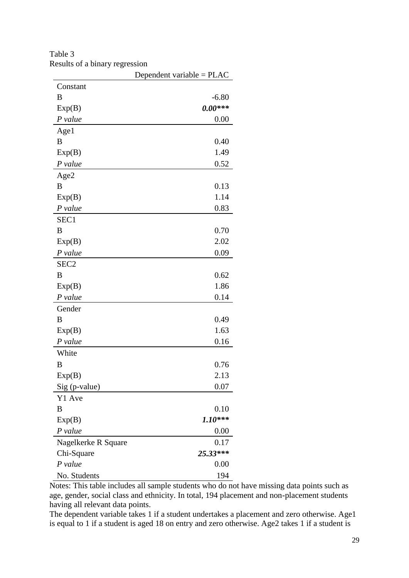|                     | Dependent variable = $PLAC$ |
|---------------------|-----------------------------|
| Constant            |                             |
| B                   | $-6.80$                     |
| Exp(B)              | $0.00***$                   |
| P value             | 0.00                        |
| Age1                |                             |
| B                   | 0.40                        |
| Exp(B)              | 1.49                        |
| P value             | 0.52                        |
| Age2                |                             |
| B                   | 0.13                        |
| Exp(B)              | 1.14                        |
| $P$ value           | 0.83                        |
| SEC1                |                             |
| B                   | 0.70                        |
| Exp(B)              | 2.02                        |
| P value             | 0.09                        |
| SEC <sub>2</sub>    |                             |
| B                   | 0.62                        |
| Exp(B)              | 1.86                        |
| P value             | 0.14                        |
| Gender              |                             |
| B                   | 0.49                        |
| Exp(B)              | 1.63                        |
| P value             | 0.16                        |
| White               |                             |
| B                   | 0.76                        |
| Exp(B)              | 2.13                        |
| Sig (p-value)       | 0.07                        |
| Y1 Ave              |                             |
| B                   | 0.10                        |
| Exp(B)              | $1.10***$                   |
| $P$ value           | 0.00                        |
| Nagelkerke R Square | 0.17                        |
| Chi-Square          | 25.33***                    |
| $P$ value           | 0.00                        |
| No. Students        | 194                         |

Table 3 Results of a binary regression

Notes: This table includes all sample students who do not have missing data points such as age, gender, social class and ethnicity. In total, 194 placement and non-placement students having all relevant data points.

The dependent variable takes 1 if a student undertakes a placement and zero otherwise. Age1 is equal to 1 if a student is aged 18 on entry and zero otherwise. Age2 takes 1 if a student is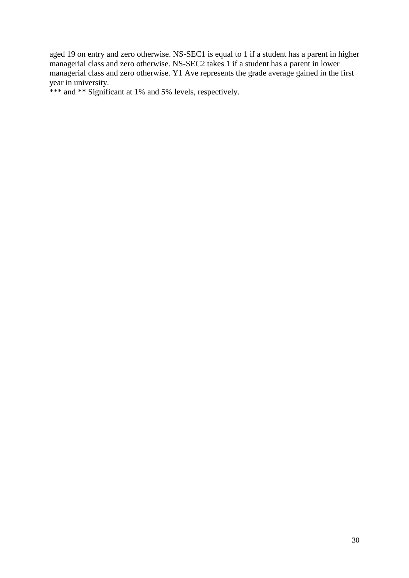aged 19 on entry and zero otherwise. NS-SEC1 is equal to 1 if a student has a parent in higher managerial class and zero otherwise. NS-SEC2 takes 1 if a student has a parent in lower managerial class and zero otherwise. Y1 Ave represents the grade average gained in the first year in university.

\*\*\* and \*\* Significant at 1% and 5% levels, respectively.